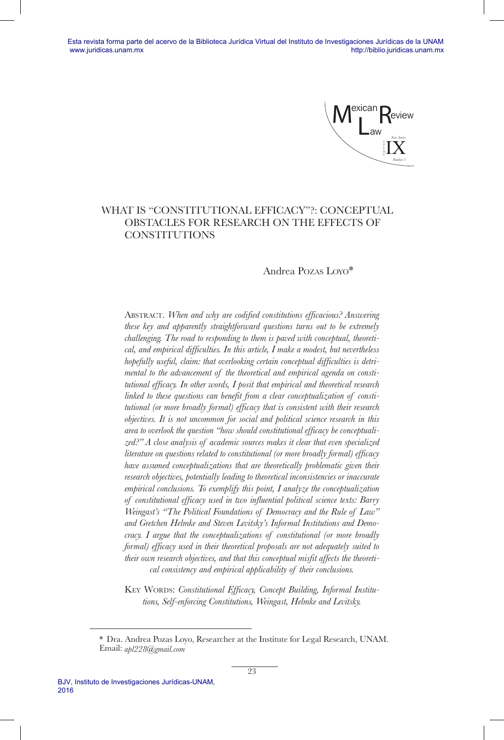Mexican  $L_{\text{aw}}$ Review IX *New Series Number 1* M

# WHAT IS "CONSTITUTIONAL EFFICACY"?: CONCEPTUAL OBSTACLES FOR RESEARCH ON THE EFFECTS OF **CONSTITUTIONS**

# Andrea Pozas Loyo\*

ABSTRACT. When and why are codified constitutions efficacious? Answering *these key and apparently straightforward questions turns out to be extremely challenging. The road to responding to them is paved with conceptual, theoretical, and empirical difficulties. In this article, I make a modest, but nevertheless hopefully useful, claim: that overlooking certain conceptual difficulties is detrimental to the advancement of the theoretical and empirical agenda on constitutional efficacy. In other words, I posit that empirical and theoretical research linked to these questions can benefit from a clear conceptualization of constitutional (or more broadly formal) efficacy that is consistent with their research objectives. It is not uncommon for social and political science research in this area to overlook the question "how should constitutional efficacy be conceptualized?" A close analysis of academic sources makes it clear that even specialized literature on questions related to constitutional (or more broadly formal) efficacy have assumed conceptualizations that are theoretically problematic given their research objectives, potentially leading to theoretical inconsistencies or inaccurate empirical conclusions. To exemplify this point, I analyze the conceptualization of constitutional efficacy used in two influential political science texts: Barry Weingast's "The Political Foundations of Democracy and the Rule of Law" and Gretchen Helmke and Steven Levitsky's Informal Institutions and Democracy. I argue that the conceptualizations of constitutional (or more broadly formal) efficacy used in their theoretical proposals are not adequately suited to their own research objectives, and that this conceptual misfit affects the theoretical consistency and empirical applicability of their conclusions.*

KEY WORDS: *Constitutional Efficacy, Concept Building, Informal Institutions, Self-enforcing Constitutions, Weingast, Helmke and Levitsky.*

<sup>\*</sup> Dra. Andrea Pozas Loyo, Researcher at the Institute for Legal Research, UNAM. Email: *apl228@gmail.com*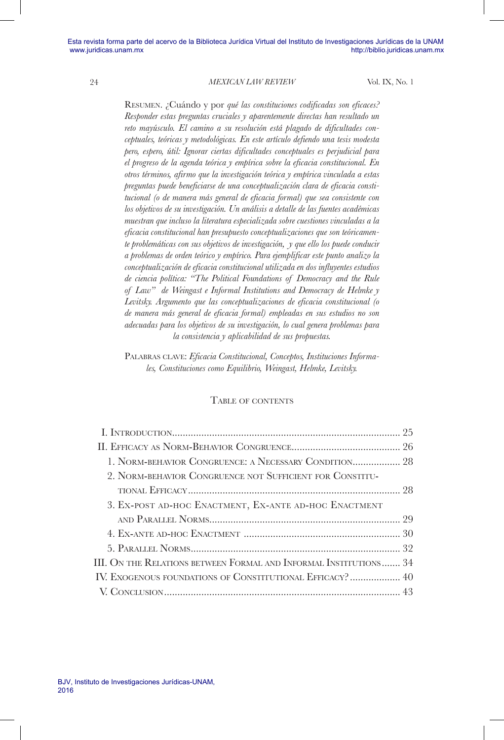Resumen. ¿Cuándo y por *qué las constituciones codificadas son eficaces? Responder estas preguntas cruciales y aparentemente directas han resultado un reto mayúsculo. El camino a su resolución está plagado de dificultades conceptuales, teóricas y metodológicas. En este artículo defiendo una tesis modesta pero, espero, útil: Ignorar ciertas dificultades conceptuales es perjudicial para el progreso de la agenda teórica y empírica sobre la eficacia constitucional. En otros términos, afirmo que la investigación teórica y empírica vinculada a estas preguntas puede beneficiarse de una conceptualización clara de eficacia constitucional (o de manera más general de eficacia formal) que sea consistente con los objetivos de su investigación. Un análisis a detalle de las fuentes académicas muestran que incluso la literatura especializada sobre cuestiones vinculadas a la eficacia constitucional han presupuesto conceptualizaciones que son teóricamente problemáticas con sus objetivos de investigación, y que ello los puede conducir a problemas de orden teórico y empírico. Para ejemplificar este punto analizo la conceptualización de eficacia constitucional utilizada en dos influyentes estudios de ciencia política: "The Political Foundations of Democracy and the Rule of Law" de Weingast e Informal Institutions and Democracy de Helmke y Levitsky. Argumento que las conceptualizaciones de eficacia constitucional (o de manera más general de eficacia formal) empleadas en sus estudios no son adecuadas para los objetivos de su investigación, lo cual genera problemas para la consistencia y aplicabilidad de sus propuestas.*

Palabras clave: *Eficacia Constitucional, Conceptos, Instituciones Informales, Constituciones como Equilibrio, Weingast, Helmke, Levitsky.*

#### Table of contents

| 1. NORM-BEHAVIOR CONGRUENCE: A NECESSARY CONDITION 28             |  |
|-------------------------------------------------------------------|--|
| 2. NORM-BEHAVIOR CONGRUENCE NOT SUFFICIENT FOR CONSTITU-          |  |
|                                                                   |  |
| 3. EX-POST AD-HOC ENACTMENT, EX-ANTE AD-HOC ENACTMENT             |  |
|                                                                   |  |
|                                                                   |  |
|                                                                   |  |
| III. ON THE RELATIONS BETWEEN FORMAL AND INFORMAL INSTITUTIONS 34 |  |
| IV. EXOGENOUS FOUNDATIONS OF CONSTITUTIONAL EFFICACY?  40         |  |
|                                                                   |  |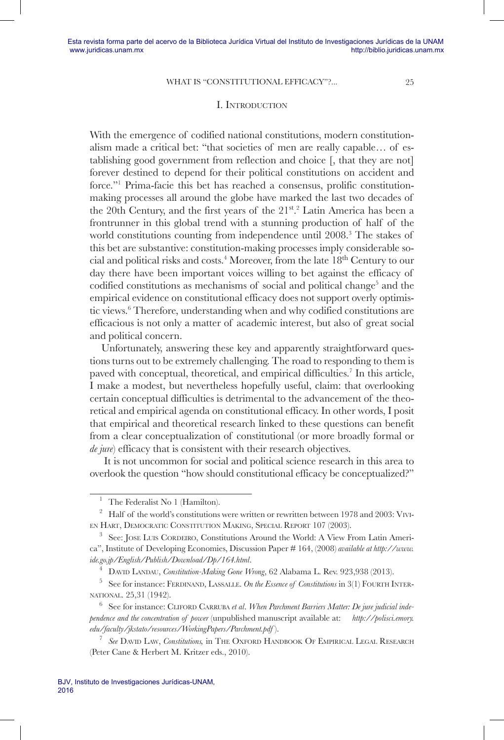### I. Introduction

With the emergence of codified national constitutions, modern constitutionalism made a critical bet: "that societies of men are really capable… of establishing good government from reflection and choice [, that they are not] forever destined to depend for their political constitutions on accident and force."1 Prima-facie this bet has reached a consensus, prolific constitutionmaking processes all around the globe have marked the last two decades of the 20th Century, and the first years of the 21st.<sup>2</sup> Latin America has been a frontrunner in this global trend with a stunning production of half of the world constitutions counting from independence until 2008.<sup>3</sup> The stakes of this bet are substantive: constitution-making processes imply considerable social and political risks and costs.<sup>4</sup> Moreover, from the late 18<sup>th</sup> Century to our day there have been important voices willing to bet against the efficacy of codified constitutions as mechanisms of social and political change<sup>5</sup> and the empirical evidence on constitutional efficacy does not support overly optimistic views.<sup>6</sup> Therefore, understanding when and why codified constitutions are efficacious is not only a matter of academic interest, but also of great social and political concern.

Unfortunately, answering these key and apparently straightforward questions turns out to be extremely challenging. The road to responding to them is paved with conceptual, theoretical, and empirical difficulties.<sup>7</sup> In this article, I make a modest, but nevertheless hopefully useful, claim: that overlooking certain conceptual difficulties is detrimental to the advancement of the theoretical and empirical agenda on constitutional efficacy. In other words, I posit that empirical and theoretical research linked to these questions can benefit from a clear conceptualization of constitutional (or more broadly formal or *de jure*) efficacy that is consistent with their research objectives.

 It is not uncommon for social and political science research in this area to overlook the question "how should constitutional efficacy be conceptualized?"

The Federalist No 1 (Hamilton).

<sup>&</sup>lt;sup>2</sup> Half of the world's constitutions were written or rewritten between 1978 and 2003: VIVIen Hart, Democratic Constitution Making, Special Report 107 (2003).

<sup>&</sup>lt;sup>3</sup> See: JOSE LUIS CORDEIRO, Constitutions Around the World: A View From Latin America", Institute of Developing Economies, Discussion Paper # 164, (2008) *available at http://www. ide.go.jp/English/Publish/Download/Dp/164.html.*<br><sup>4</sup> DAVID LANDAU, *Constitution-Making Gone Wrong*, 62 Alabama L. Rev. 923,938 (2013).<br><sup>5</sup> See for instance: FERDINAND, LASSALLE. *On the Essence of Constitutions* in 3(1)

national. 25,31 (1942).

<sup>&</sup>lt;sup>6</sup> See for instance: CLIFORD CARRUBA *et al. When Parchment Barriers Matter: De jure judicial independence and the concentration of power* (unpublished manuscript available at: *http://polisci.emory. edu/faculty/jkstato/resources/WorkingPapers/Parchment.pdf* ).

<sup>7</sup> *See* David Law, *Constitutions,* in The Oxford Handbook Of Empirical Legal Research (Peter Cane & Herbert M. Kritzer eds., 2010).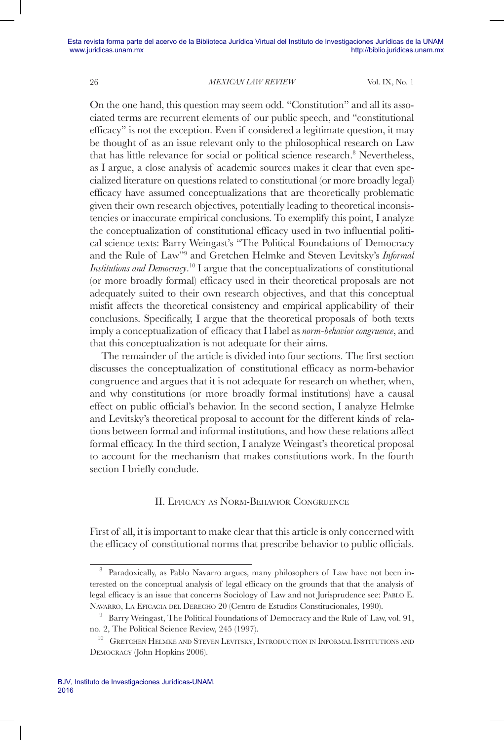On the one hand, this question may seem odd. "Constitution" and all its associated terms are recurrent elements of our public speech, and "constitutional efficacy" is not the exception. Even if considered a legitimate question, it may be thought of as an issue relevant only to the philosophical research on Law that has little relevance for social or political science research.<sup>8</sup> Nevertheless, as I argue, a close analysis of academic sources makes it clear that even specialized literature on questions related to constitutional (or more broadly legal) efficacy have assumed conceptualizations that are theoretically problematic given their own research objectives, potentially leading to theoretical inconsistencies or inaccurate empirical conclusions. To exemplify this point, I analyze the conceptualization of constitutional efficacy used in two influential political science texts: Barry Weingast's "The Political Foundations of Democracy and the Rule of Law"9 and Gretchen Helmke and Steven Levitsky's *Informal Institutions and Democracy*. 10 I argue that the conceptualizations of constitutional (or more broadly formal) efficacy used in their theoretical proposals are not adequately suited to their own research objectives, and that this conceptual misfit affects the theoretical consistency and empirical applicability of their conclusions. Specifically, I argue that the theoretical proposals of both texts imply a conceptualization of efficacy that I label as *norm-behavior congruence*, and that this conceptualization is not adequate for their aims.

The remainder of the article is divided into four sections. The first section discusses the conceptualization of constitutional efficacy as norm-behavior congruence and argues that it is not adequate for research on whether, when, and why constitutions (or more broadly formal institutions) have a causal effect on public official's behavior. In the second section, I analyze Helmke and Levitsky's theoretical proposal to account for the different kinds of relations between formal and informal institutions, and how these relations affect formal efficacy. In the third section, I analyze Weingast's theoretical proposal to account for the mechanism that makes constitutions work. In the fourth section I briefly conclude.

# II. Efficacy as Norm-Behavior Congruence

First of all, it is important to make clear that this article is only concerned with the efficacy of constitutional norms that prescribe behavior to public officials.

<sup>&</sup>lt;sup>8</sup> Paradoxically, as Pablo Navarro argues, many philosophers of Law have not been interested on the conceptual analysis of legal efficacy on the grounds that that the analysis of legal efficacy is an issue that concerns Sociology of Law and not Jurisprudence see: Pablo E. Navarro, La Eficacia del Derecho 20 (Centro de Estudios Constitucionales, 1990).

<sup>&</sup>lt;sup>9</sup> Barry Weingast, The Political Foundations of Democracy and the Rule of Law, vol. 91, no. 2, The Political Science Review, 245 (1997).

<sup>&</sup>lt;sup>10</sup> GRETCHEN HELMKE AND STEVEN LEVITSKY, INTRODUCTION IN INFORMAL INSTITUTIONS AND Democracy (John Hopkins 2006).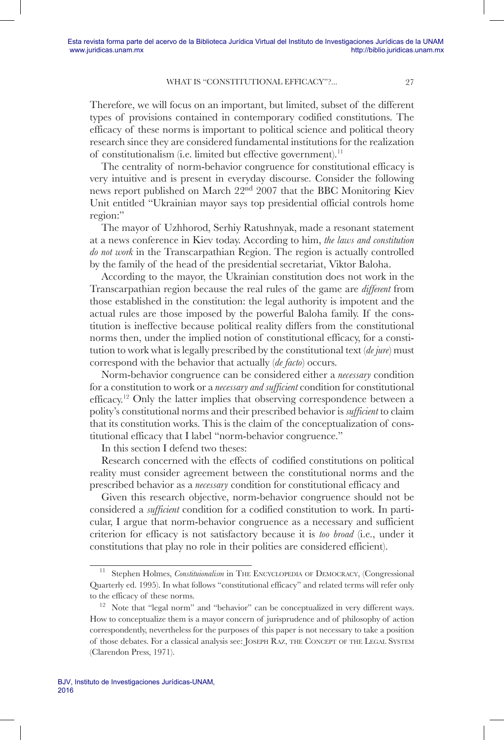Therefore, we will focus on an important, but limited, subset of the different types of provisions contained in contemporary codified constitutions. The efficacy of these norms is important to political science and political theory research since they are considered fundamental institutions for the realization of constitutionalism (i.e. limited but effective government).11

The centrality of norm-behavior congruence for constitutional efficacy is very intuitive and is present in everyday discourse. Consider the following news report published on March 22nd 2007 that the BBC Monitoring Kiev Unit entitled "Ukrainian mayor says top presidential official controls home region:"

The mayor of Uzhhorod, Serhiy Ratushnyak, made a resonant statement at a news conference in Kiev today. According to him, *the laws and constitution do not work* in the Transcarpathian Region. The region is actually controlled by the family of the head of the presidential secretariat, Viktor Baloha.

According to the mayor, the Ukrainian constitution does not work in the Transcarpathian region because the real rules of the game are *different* from those established in the constitution: the legal authority is impotent and the actual rules are those imposed by the powerful Baloha family. If the constitution is ineffective because political reality differs from the constitutional norms then, under the implied notion of constitutional efficacy, for a constitution to work what is legally prescribed by the constitutional text (*de jure*) must correspond with the behavior that actually (*de facto*) occurs.

Norm-behavior congruence can be considered either a *necessary* condition for a constitution to work or a *necessary and sufficient* condition for constitutional efficacy.12 Only the latter implies that observing correspondence between a polity's constitutional norms and their prescribed behavior is *sufficient* to claim that its constitution works. This is the claim of the conceptualization of constitutional efficacy that I label "norm-behavior congruence."

In this section I defend two theses:

Research concerned with the effects of codified constitutions on political reality must consider agreement between the constitutional norms and the prescribed behavior as a *necessary* condition for constitutional efficacy and

Given this research objective, norm-behavior congruence should not be considered a *sufficient* condition for a codified constitution to work. In particular, I argue that norm-behavior congruence as a necessary and sufficient criterion for efficacy is not satisfactory because it is *too broad* (i.e., under it constitutions that play no role in their polities are considered efficient).

Stephen Holmes, *Constituionalism* in THE ENCYCLOPEDIA OF DEMOCRACY, (Congressional Quarterly ed. 1995). In what follows "constitutional efficacy" and related terms will refer only to the efficacy of these norms.

 $12$  Note that "legal norm" and "behavior" can be conceptualized in very different ways. How to conceptualize them is a mayor concern of jurisprudence and of philosophy of action correspondently, nevertheless for the purposes of this paper is not necessary to take a position of those debates. For a classical analysis see: Joseph Raz, the Concept of the Legal System (Clarendon Press, 1971).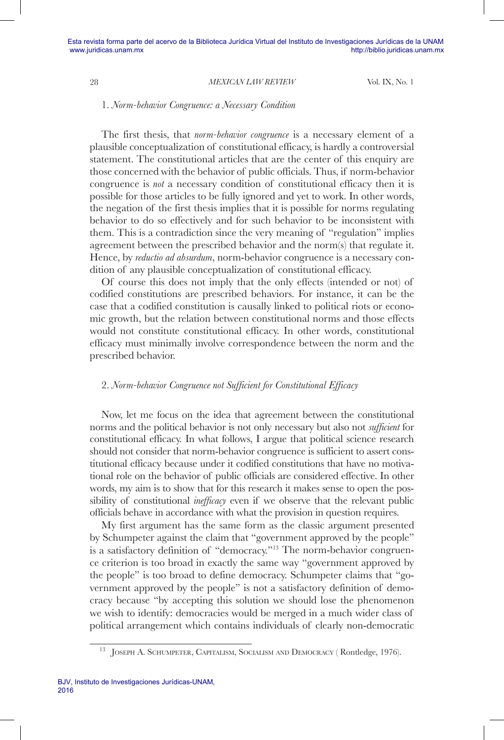#### 1. *Norm-behavior Congruence: a Necessary Condition*

The first thesis, that *norm-behavior congruence* is a necessary element of a plausible conceptualization of constitutional efficacy, is hardly a controversial statement. The constitutional articles that are the center of this enquiry are those concerned with the behavior of public officials. Thus, if norm-behavior congruence is *not* a necessary condition of constitutional efficacy then it is possible for those articles to be fully ignored and yet to work. In other words, the negation of the first thesis implies that it is possible for norms regulating behavior to do so effectively and for such behavior to be inconsistent with them. This is a contradiction since the very meaning of "regulation" implies agreement between the prescribed behavior and the norm(s) that regulate it. Hence, by *reductio ad absurdum*, norm-behavior congruence is a necessary condition of any plausible conceptualization of constitutional efficacy.

Of course this does not imply that the only effects (intended or not) of codified constitutions are prescribed behaviors. For instance, it can be the case that a codified constitution is causally linked to political riots or economic growth, but the relation between constitutional norms and those effects would not constitute constitutional efficacy. In other words, constitutional efficacy must minimally involve correspondence between the norm and the prescribed behavior.

### 2. *Norm-behavior Congruence not Sufficient for Constitutional Efficacy*

Now, let me focus on the idea that agreement between the constitutional norms and the political behavior is not only necessary but also not *sufficient* for constitutional efficacy. In what follows, I argue that political science research should not consider that norm-behavior congruence is sufficient to assert constitutional efficacy because under it codified constitutions that have no motivational role on the behavior of public officials are considered effective. In other words, my aim is to show that for this research it makes sense to open the possibility of constitutional *inefficacy* even if we observe that the relevant public officials behave in accordance with what the provision in question requires.

My first argument has the same form as the classic argument presented by Schumpeter against the claim that "government approved by the people" is a satisfactory definition of "democracy."13 The norm-behavior congruence criterion is too broad in exactly the same way "government approved by the people" is too broad to define democracy. Schumpeter claims that "government approved by the people" is not a satisfactory definition of democracy because "by accepting this solution we should lose the phenomenon we wish to identify: democracies would be merged in a much wider class of political arrangement which contains individuals of clearly non-democratic

JOSEPH A. SCHUMPETER, CAPITALISM, SOCIALISM AND DEMOCRACY (Rontledge, 1976).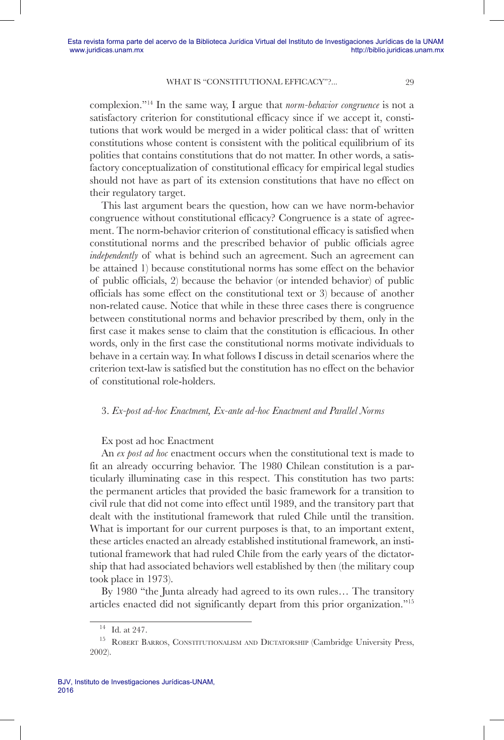complexion."14 In the same way, I argue that *norm-behavior congruence* is not a satisfactory criterion for constitutional efficacy since if we accept it, constitutions that work would be merged in a wider political class: that of written constitutions whose content is consistent with the political equilibrium of its polities that contains constitutions that do not matter. In other words, a satisfactory conceptualization of constitutional efficacy for empirical legal studies should not have as part of its extension constitutions that have no effect on their regulatory target.

This last argument bears the question, how can we have norm-behavior congruence without constitutional efficacy? Congruence is a state of agreement. The norm-behavior criterion of constitutional efficacy is satisfied when constitutional norms and the prescribed behavior of public officials agree *independently* of what is behind such an agreement. Such an agreement can be attained 1) because constitutional norms has some effect on the behavior of public officials, 2) because the behavior (or intended behavior) of public officials has some effect on the constitutional text or 3) because of another non-related cause. Notice that while in these three cases there is congruence between constitutional norms and behavior prescribed by them, only in the first case it makes sense to claim that the constitution is efficacious. In other words, only in the first case the constitutional norms motivate individuals to behave in a certain way. In what follows I discuss in detail scenarios where the criterion text-law is satisfied but the constitution has no effect on the behavior of constitutional role-holders.

### 3. *Ex-post ad-hoc Enactment, Ex-ante ad-hoc Enactment and Parallel Norms*

#### Ex post ad hoc Enactment

An *ex post ad hoc* enactment occurs when the constitutional text is made to fit an already occurring behavior. The 1980 Chilean constitution is a particularly illuminating case in this respect. This constitution has two parts: the permanent articles that provided the basic framework for a transition to civil rule that did not come into effect until 1989, and the transitory part that dealt with the institutional framework that ruled Chile until the transition. What is important for our current purposes is that, to an important extent, these articles enacted an already established institutional framework, an institutional framework that had ruled Chile from the early years of the dictatorship that had associated behaviors well established by then (the military coup took place in 1973).

By 1980 "the Junta already had agreed to its own rules… The transitory articles enacted did not significantly depart from this prior organization."15

 $14$  Id. at 247.

<sup>&</sup>lt;sup>15</sup> ROBERT BARROS, CONSTITUTIONALISM AND DICTATORSHIP (Cambridge University Press, 2002).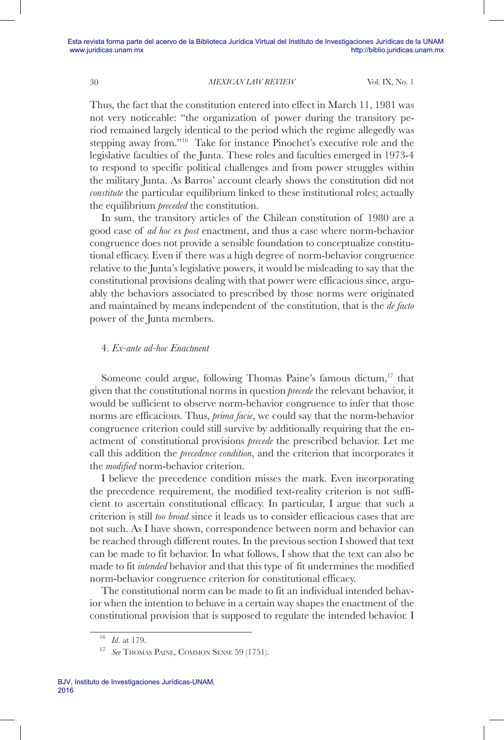Thus, the fact that the constitution entered into effect in March 11, 1981 was not very noticeable: "the organization of power during the transitory period remained largely identical to the period which the regime allegedly was stepping away from."16 Take for instance Pinochet's executive role and the legislative faculties of the Junta. These roles and faculties emerged in 1973-4 to respond to specific political challenges and from power struggles within the military Junta. As Barros' account clearly shows the constitution did not *constitute* the particular equilibrium linked to these institutional roles; actually the equilibrium *preceded* the constitution.

In sum, the transitory articles of the Chilean constitution of 1980 are a good case of *ad hoc ex post* enactment, and thus a case where norm-behavior congruence does not provide a sensible foundation to conceptualize constitutional efficacy. Even if there was a high degree of norm-behavior congruence relative to the Junta's legislative powers, it would be misleading to say that the constitutional provisions dealing with that power were efficacious since, arguably the behaviors associated to prescribed by those norms were originated and maintained by means independent of the constitution, that is the *de facto* power of the Junta members.

### 4. *Ex-ante ad-hoc Enactment*

Someone could argue, following Thomas Paine's famous dictum, $17$  that given that the constitutional norms in question *precede* the relevant behavior, it would be sufficient to observe norm-behavior congruence to infer that those norms are efficacious. Thus, *prima facie*, we could say that the norm-behavior congruence criterion could still survive by additionally requiring that the enactment of constitutional provisions *precede* the prescribed behavior. Let me call this addition the *precedence condition*, and the criterion that incorporates it the *modified* norm-behavior criterion.

I believe the precedence condition misses the mark. Even incorporating the precedence requirement, the modified text-reality criterion is not sufficient to ascertain constitutional efficacy. In particular, I argue that such a criterion is still *too broad* since it leads us to consider efficacious cases that are not such. As I have shown, correspondence between norm and behavior can be reached through different routes. In the previous section I showed that text can be made to fit behavior. In what follows, I show that the text can also be made to fit *intended* behavior and that this type of fit undermines the modified norm-behavior congruence criterion for constitutional efficacy.

The constitutional norm can be made to fit an individual intended behavior when the intention to behave in a certain way shapes the enactment of the constitutional provision that is supposed to regulate the intended behavior. I

<sup>16</sup> *Id*. at 179. 17 *See* Thomas Paine, Common Sense 59 (1751).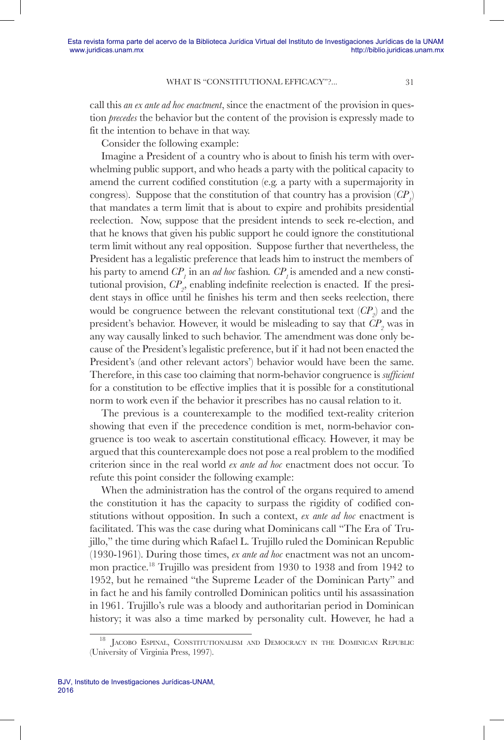call this *an ex ante ad hoc enactment*, since the enactment of the provision in question *precedes* the behavior but the content of the provision is expressly made to fit the intention to behave in that way.

Consider the following example:

Imagine a President of a country who is about to finish his term with overwhelming public support, and who heads a party with the political capacity to amend the current codified constitution (e.g. a party with a supermajority in congress). Suppose that the constitution of that country has a provision  $(CP<sub>1</sub>)$ that mandates a term limit that is about to expire and prohibits presidential reelection. Now, suppose that the president intends to seek re-election, and that he knows that given his public support he could ignore the constitutional term limit without any real opposition. Suppose further that nevertheless, the President has a legalistic preference that leads him to instruct the members of his party to amend  $\mathit{CP}_{1}$  in an *ad hoc* fashion.  $\mathit{CP}_{1}$  is amended and a new constitutional provision,  $\mathbb{CP}_2$ , enabling indefinite reelection is enacted. If the president stays in office until he finishes his term and then seeks reelection, there would be congruence between the relevant constitutional text  $\left( CP_{2}\right)$  and the president's behavior. However, it would be misleading to say that  $\mathbb{CP}_{2}$  was in any way causally linked to such behavior. The amendment was done only because of the President's legalistic preference, but if it had not been enacted the President's (and other relevant actors') behavior would have been the same. Therefore, in this case too claiming that norm-behavior congruence is *sufficient* for a constitution to be effective implies that it is possible for a constitutional norm to work even if the behavior it prescribes has no causal relation to it.

The previous is a counterexample to the modified text-reality criterion showing that even if the precedence condition is met, norm-behavior congruence is too weak to ascertain constitutional efficacy. However, it may be argued that this counterexample does not pose a real problem to the modified criterion since in the real world *ex ante ad hoc* enactment does not occur. To refute this point consider the following example:

When the administration has the control of the organs required to amend the constitution it has the capacity to surpass the rigidity of codified constitutions without opposition. In such a context, *ex ante ad hoc* enactment is facilitated. This was the case during what Dominicans call "The Era of Trujillo," the time during which Rafael L. Trujillo ruled the Dominican Republic (1930-1961). During those times, *ex ante ad hoc* enactment was not an uncommon practice.18 Trujillo was president from 1930 to 1938 and from 1942 to 1952, but he remained "the Supreme Leader of the Dominican Party" and in fact he and his family controlled Dominican politics until his assassination in 1961. Trujillo's rule was a bloody and authoritarian period in Dominican history; it was also a time marked by personality cult. However, he had a

JACOBO ESPINAL, CONSTITUTIONALISM AND DEMOCRACY IN THE DOMINICAN REPUBLIC (University of Virginia Press, 1997).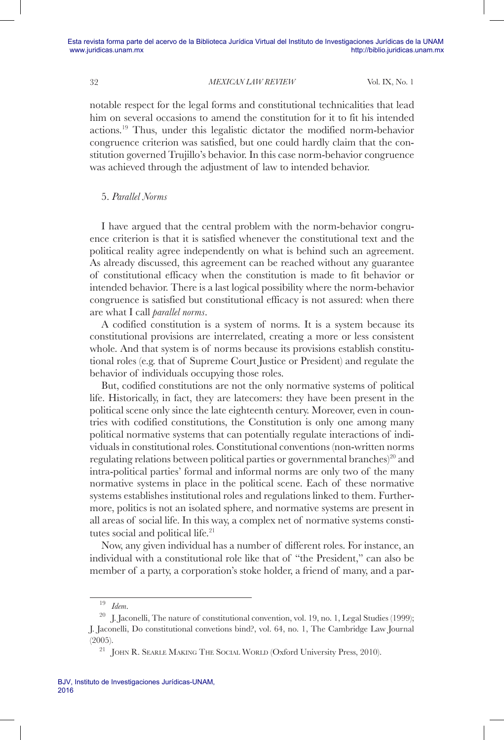notable respect for the legal forms and constitutional technicalities that lead him on several occasions to amend the constitution for it to fit his intended actions.19 Thus, under this legalistic dictator the modified norm-behavior congruence criterion was satisfied, but one could hardly claim that the constitution governed Trujillo's behavior. In this case norm-behavior congruence was achieved through the adjustment of law to intended behavior.

### 5. *Parallel Norms*

I have argued that the central problem with the norm-behavior congruence criterion is that it is satisfied whenever the constitutional text and the political reality agree independently on what is behind such an agreement. As already discussed, this agreement can be reached without any guarantee of constitutional efficacy when the constitution is made to fit behavior or intended behavior. There is a last logical possibility where the norm-behavior congruence is satisfied but constitutional efficacy is not assured: when there are what I call *parallel norms*.

A codified constitution is a system of norms. It is a system because its constitutional provisions are interrelated, creating a more or less consistent whole. And that system is of norms because its provisions establish constitutional roles (e.g. that of Supreme Court Justice or President) and regulate the behavior of individuals occupying those roles.

But, codified constitutions are not the only normative systems of political life. Historically, in fact, they are latecomers: they have been present in the political scene only since the late eighteenth century. Moreover, even in countries with codified constitutions, the Constitution is only one among many political normative systems that can potentially regulate interactions of individuals in constitutional roles. Constitutional conventions (non-written norms regulating relations between political parties or governmental branches)<sup>20</sup> and intra-political parties' formal and informal norms are only two of the many normative systems in place in the political scene. Each of these normative systems establishes institutional roles and regulations linked to them. Furthermore, politics is not an isolated sphere, and normative systems are present in all areas of social life. In this way, a complex net of normative systems constitutes social and political life.<sup>21</sup>

Now, any given individual has a number of different roles. For instance, an individual with a constitutional role like that of "the President," can also be member of a party, a corporation's stoke holder, a friend of many, and a par-

<sup>19</sup> *Idem*.

 $20$  J. Jaconelli, The nature of constitutional convention, vol. 19, no. 1, Legal Studies (1999); J. Jaconelli, Do constitutional convetions bind?, vol. 64, no. 1, The Cambridge Law Journal (2005).

<sup>&</sup>lt;sup>21</sup> JOHN R. SEARLE MAKING THE SOCIAL WORLD (Oxford University Press, 2010).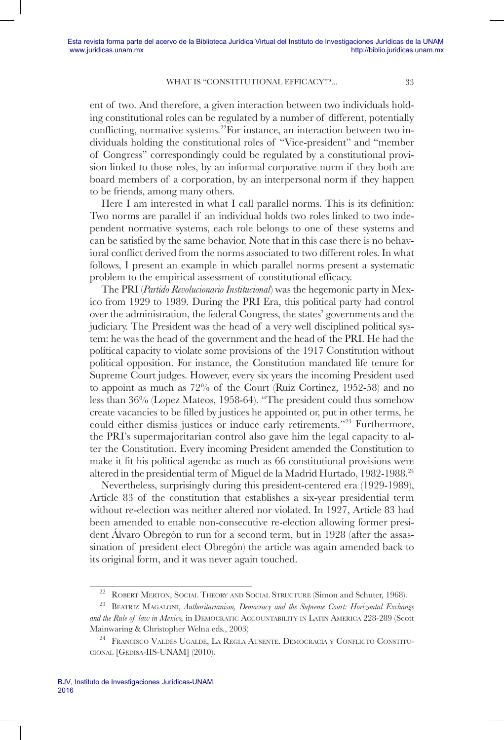ent of two. And therefore, a given interaction between two individuals holding constitutional roles can be regulated by a number of different, potentially conflicting, normative systems.<sup>22</sup>For instance, an interaction between two individuals holding the constitutional roles of "Vice-president" and "member of Congress" correspondingly could be regulated by a constitutional provision linked to those roles, by an informal corporative norm if they both are board members of a corporation, by an interpersonal norm if they happen to be friends, among many others.

Here I am interested in what I call parallel norms. This is its definition: Two norms are parallel if an individual holds two roles linked to two independent normative systems, each role belongs to one of these systems and can be satisfied by the same behavior. Note that in this case there is no behavioral conflict derived from the norms associated to two different roles. In what follows, I present an example in which parallel norms present a systematic problem to the empirical assessment of constitutional efficacy.

The PRI (*Partido Revolucionario Institucional*) was the hegemonic party in Mexico from 1929 to 1989. During the PRI Era, this political party had control over the administration, the federal Congress, the states' governments and the judiciary. The President was the head of a very well disciplined political system: he was the head of the government and the head of the PRI. He had the political capacity to violate some provisions of the 1917 Constitution without political opposition. For instance, the Constitution mandated life tenure for Supreme Court judges. However, every six years the incoming President used to appoint as much as 72% of the Court (Ruiz Cortinez, 1952-58) and no less than 36% (Lopez Mateos, 1958-64). "The president could thus somehow create vacancies to be filled by justices he appointed or, put in other terms, he could either dismiss justices or induce early retirements."23 Furthermore, the PRI's supermajoritarian control also gave him the legal capacity to alter the Constitution. Every incoming President amended the Constitution to make it fit his political agenda: as much as 66 constitutional provisions were altered in the presidential term of Miguel de la Madrid Hurtado, 1982-1988.<sup>24</sup>

Nevertheless, surprisingly during this president-centered era (1929-1989), Article 83 of the constitution that establishes a six-year presidential term without re-election was neither altered nor violated. In 1927, Article 83 had been amended to enable non-consecutive re-election allowing former president Álvaro Obregón to run for a second term, but in 1928 (after the assassination of president elect Obregón) the article was again amended back to its original form, and it was never again touched.

<sup>22</sup> Robert Merton, Social Theory and Social Structure (Simon and Schuter, 1968).

<sup>&</sup>lt;sup>23</sup> BEATRIZ MAGALONI, *Authoritarianism, Democracy and the Supreme Court: Horizontal Exchange and the Rule of law in Mexico,* in Democratic Accountability in Latin America 228-289 (Scott Mainwaring & Christopher Welna eds., 2003)

<sup>24</sup> Francisco Valdés Ugalde, La Regla Ausente. Democracia <sup>y</sup> Conflicto Constitucional [Gedisa-IIS-UNAM] (2010).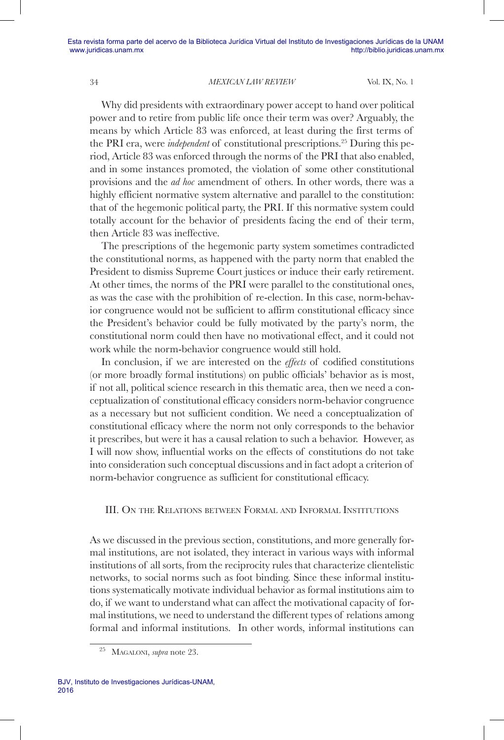Why did presidents with extraordinary power accept to hand over political power and to retire from public life once their term was over? Arguably, the means by which Article 83 was enforced, at least during the first terms of the PRI era, were *independent* of constitutional prescriptions.25 During this period, Article 83 was enforced through the norms of the PRI that also enabled, and in some instances promoted, the violation of some other constitutional provisions and the *ad hoc* amendment of others. In other words, there was a highly efficient normative system alternative and parallel to the constitution: that of the hegemonic political party, the PRI. If this normative system could totally account for the behavior of presidents facing the end of their term, then Article 83 was ineffective.

The prescriptions of the hegemonic party system sometimes contradicted the constitutional norms, as happened with the party norm that enabled the President to dismiss Supreme Court justices or induce their early retirement. At other times, the norms of the PRI were parallel to the constitutional ones, as was the case with the prohibition of re-election. In this case, norm-behavior congruence would not be sufficient to affirm constitutional efficacy since the President's behavior could be fully motivated by the party's norm, the constitutional norm could then have no motivational effect, and it could not work while the norm-behavior congruence would still hold.

In conclusion, if we are interested on the *effects* of codified constitutions (or more broadly formal institutions) on public officials' behavior as is most, if not all, political science research in this thematic area, then we need a conceptualization of constitutional efficacy considers norm-behavior congruence as a necessary but not sufficient condition. We need a conceptualization of constitutional efficacy where the norm not only corresponds to the behavior it prescribes, but were it has a causal relation to such a behavior. However, as I will now show, influential works on the effects of constitutions do not take into consideration such conceptual discussions and in fact adopt a criterion of norm-behavior congruence as sufficient for constitutional efficacy.

# III. On the Relations between Formal and Informal Institutions

As we discussed in the previous section, constitutions, and more generally formal institutions, are not isolated, they interact in various ways with informal institutions of all sorts, from the reciprocity rules that characterize clientelistic networks, to social norms such as foot binding. Since these informal institutions systematically motivate individual behavior as formal institutions aim to do, if we want to understand what can affect the motivational capacity of formal institutions, we need to understand the different types of relations among formal and informal institutions. In other words, informal institutions can

MAGALONI, *supra* note 23.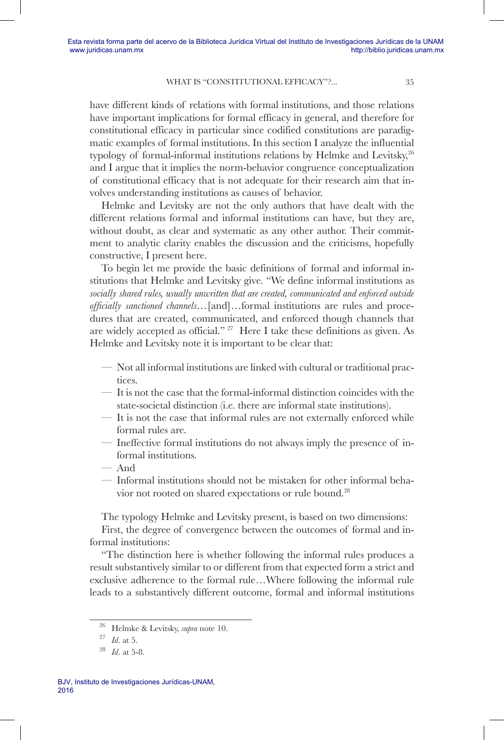have different kinds of relations with formal institutions, and those relations have important implications for formal efficacy in general, and therefore for constitutional efficacy in particular since codified constitutions are paradigmatic examples of formal institutions. In this section I analyze the influential typology of formal-informal institutions relations by Helmke and Levitsky, $26$ and I argue that it implies the norm-behavior congruence conceptualization of constitutional efficacy that is not adequate for their research aim that involves understanding institutions as causes of behavior.

Helmke and Levitsky are not the only authors that have dealt with the different relations formal and informal institutions can have, but they are, without doubt, as clear and systematic as any other author. Their commitment to analytic clarity enables the discussion and the criticisms, hopefully constructive, I present here.

To begin let me provide the basic definitions of formal and informal institutions that Helmke and Levitsky give. "We define informal institutions as *socially shared rules, usually unwritten that are created, communicated and enforced outside officially sanctioned channels…*[and]…formal institutions are rules and procedures that are created, communicated, and enforced though channels that are widely accepted as official." 27 Here I take these definitions as given. As Helmke and Levitsky note it is important to be clear that:

- Not all informal institutions are linked with cultural or traditional practices.
- It is not the case that the formal-informal distinction coincides with the state-societal distinction (i.e. there are informal state institutions).
- It is not the case that informal rules are not externally enforced while formal rules are.
- Ineffective formal institutions do not always imply the presence of informal institutions.
- And
- Informal institutions should not be mistaken for other informal behavior not rooted on shared expectations or rule bound.28

The typology Helmke and Levitsky present, is based on two dimensions: First, the degree of convergence between the outcomes of formal and informal institutions:

"The distinction here is whether following the informal rules produces a result substantively similar to or different from that expected form a strict and exclusive adherence to the formal rule…Where following the informal rule leads to a substantively different outcome, formal and informal institutions

<sup>26</sup> Helmke & Levitsky, *supra* note 10.

<sup>27</sup> *Id*. at 5.

<sup>28</sup> *Id*. at 5-8.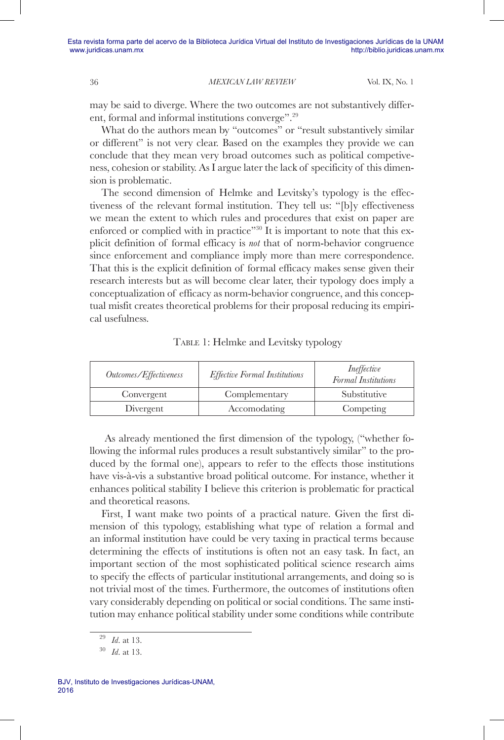may be said to diverge. Where the two outcomes are not substantively different, formal and informal institutions converge".29

What do the authors mean by "outcomes" or "result substantively similar or different" is not very clear. Based on the examples they provide we can conclude that they mean very broad outcomes such as political competiveness, cohesion or stability. As I argue later the lack of specificity of this dimension is problematic.

The second dimension of Helmke and Levitsky's typology is the effectiveness of the relevant formal institution. They tell us: "[b]y effectiveness we mean the extent to which rules and procedures that exist on paper are enforced or complied with in practice"<sup>30</sup> It is important to note that this explicit definition of formal efficacy is *not* that of norm-behavior congruence since enforcement and compliance imply more than mere correspondence. That this is the explicit definition of formal efficacy makes sense given their research interests but as will become clear later, their typology does imply a conceptualization of efficacy as norm-behavior congruence, and this conceptual misfit creates theoretical problems for their proposal reducing its empirical usefulness.

|  |  | TABLE 1: Helmke and Levitsky typology |
|--|--|---------------------------------------|
|  |  |                                       |

| Outcomes/Effectiveness | <b>Effective Formal Institutions</b> | Ineffective<br>Formal Institutions |
|------------------------|--------------------------------------|------------------------------------|
| Convergent             | Complementary                        | Substitutive                       |
| Divergent              | Accomodating                         | Competing                          |

As already mentioned the first dimension of the typology, ("whether following the informal rules produces a result substantively similar" to the produced by the formal one), appears to refer to the effects those institutions have vis-à-vis a substantive broad political outcome. For instance, whether it enhances political stability I believe this criterion is problematic for practical and theoretical reasons.

First, I want make two points of a practical nature. Given the first dimension of this typology, establishing what type of relation a formal and an informal institution have could be very taxing in practical terms because determining the effects of institutions is often not an easy task. In fact, an important section of the most sophisticated political science research aims to specify the effects of particular institutional arrangements, and doing so is not trivial most of the times. Furthermore, the outcomes of institutions often vary considerably depending on political or social conditions. The same institution may enhance political stability under some conditions while contribute

<sup>29</sup> *Id*. at 13.

<sup>30</sup> *Id*. at 13.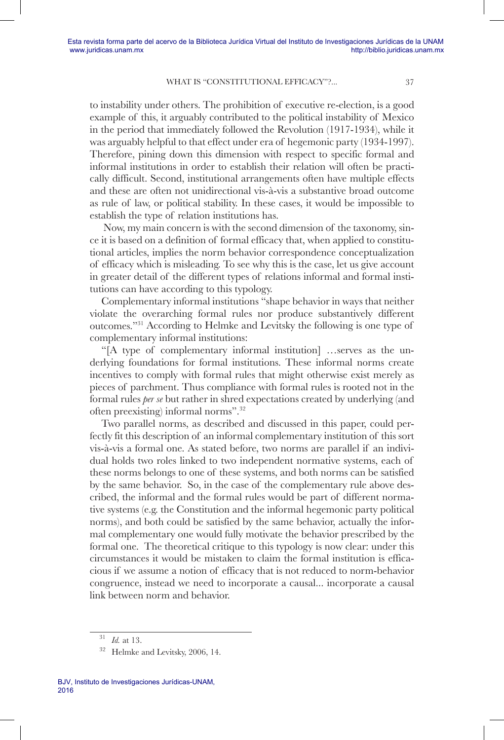to instability under others. The prohibition of executive re-election, is a good example of this, it arguably contributed to the political instability of Mexico in the period that immediately followed the Revolution (1917-1934), while it was arguably helpful to that effect under era of hegemonic party (1934-1997). Therefore, pining down this dimension with respect to specific formal and informal institutions in order to establish their relation will often be practically difficult. Second, institutional arrangements often have multiple effects and these are often not unidirectional vis-à-vis a substantive broad outcome as rule of law, or political stability. In these cases, it would be impossible to establish the type of relation institutions has.

 Now, my main concern is with the second dimension of the taxonomy, since it is based on a definition of formal efficacy that, when applied to constitutional articles, implies the norm behavior correspondence conceptualization of efficacy which is misleading. To see why this is the case, let us give account in greater detail of the different types of relations informal and formal institutions can have according to this typology.

Complementary informal institutions "shape behavior in ways that neither violate the overarching formal rules nor produce substantively different outcomes."31 According to Helmke and Levitsky the following is one type of complementary informal institutions:

"[A type of complementary informal institution] …serves as the underlying foundations for formal institutions. These informal norms create incentives to comply with formal rules that might otherwise exist merely as pieces of parchment. Thus compliance with formal rules is rooted not in the formal rules *per se* but rather in shred expectations created by underlying (and often preexisting) informal norms".32

Two parallel norms, as described and discussed in this paper, could perfectly fit this description of an informal complementary institution of this sort vis-à-vis a formal one. As stated before, two norms are parallel if an individual holds two roles linked to two independent normative systems, each of these norms belongs to one of these systems, and both norms can be satisfied by the same behavior. So, in the case of the complementary rule above described, the informal and the formal rules would be part of different normative systems (e.g. the Constitution and the informal hegemonic party political norms), and both could be satisfied by the same behavior, actually the informal complementary one would fully motivate the behavior prescribed by the formal one. The theoretical critique to this typology is now clear: under this circumstances it would be mistaken to claim the formal institution is efficacious if we assume a notion of efficacy that is not reduced to norm-behavior congruence, instead we need to incorporate a causal... incorporate a causal link between norm and behavior.

<sup>31</sup> *Id.* at 13.

<sup>32</sup> Helmke and Levitsky, 2006, 14.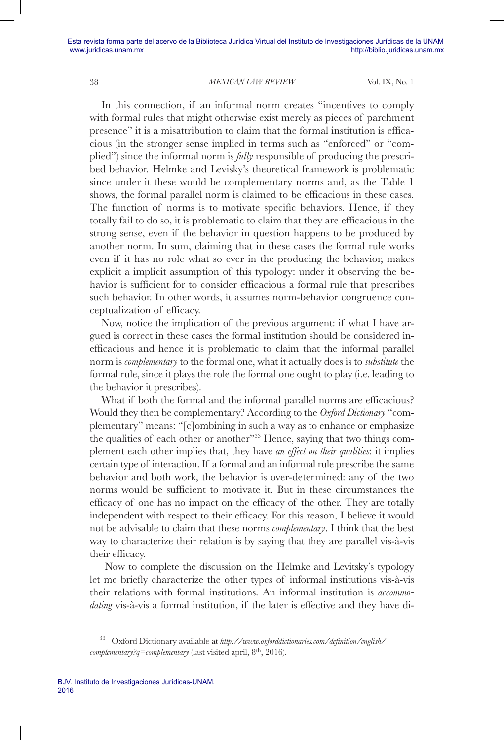In this connection, if an informal norm creates "incentives to comply with formal rules that might otherwise exist merely as pieces of parchment presence" it is a misattribution to claim that the formal institution is efficacious (in the stronger sense implied in terms such as "enforced" or "complied") since the informal norm is *fully* responsible of producing the prescribed behavior. Helmke and Levisky's theoretical framework is problematic since under it these would be complementary norms and, as the Table 1 shows, the formal parallel norm is claimed to be efficacious in these cases. The function of norms is to motivate specific behaviors. Hence, if they totally fail to do so, it is problematic to claim that they are efficacious in the strong sense, even if the behavior in question happens to be produced by another norm. In sum, claiming that in these cases the formal rule works even if it has no role what so ever in the producing the behavior, makes explicit a implicit assumption of this typology: under it observing the behavior is sufficient for to consider efficacious a formal rule that prescribes such behavior. In other words, it assumes norm-behavior congruence conceptualization of efficacy.

Now, notice the implication of the previous argument: if what I have argued is correct in these cases the formal institution should be considered inefficacious and hence it is problematic to claim that the informal parallel norm is *complementary* to the formal one, what it actually does is to *substitute* the formal rule, since it plays the role the formal one ought to play (i.e. leading to the behavior it prescribes).

What if both the formal and the informal parallel norms are efficacious? Would they then be complementary? According to the *Oxford Dictionary* "complementary" means: "[c]ombining in such a way as to enhance or emphasize the qualities of each other or another<sup>33</sup> Hence, saying that two things complement each other implies that, they have *an effect on their qualities*: it implies certain type of interaction. If a formal and an informal rule prescribe the same behavior and both work, the behavior is over-determined: any of the two norms would be sufficient to motivate it. But in these circumstances the efficacy of one has no impact on the efficacy of the other. They are totally independent with respect to their efficacy. For this reason, I believe it would not be advisable to claim that these norms *complementary*. I think that the best way to characterize their relation is by saying that they are parallel vis-à-vis their efficacy.

 Now to complete the discussion on the Helmke and Levitsky's typology let me briefly characterize the other types of informal institutions vis-à-vis their relations with formal institutions. An informal institution is *accommodating* vis-à-vis a formal institution, if the later is effective and they have di-

<sup>33</sup> Oxford Dictionary available at *http://www.oxforddictionaries.com/definition/english/ complementary?q=complementary* (last visited april, 8<sup>th</sup>, 2016).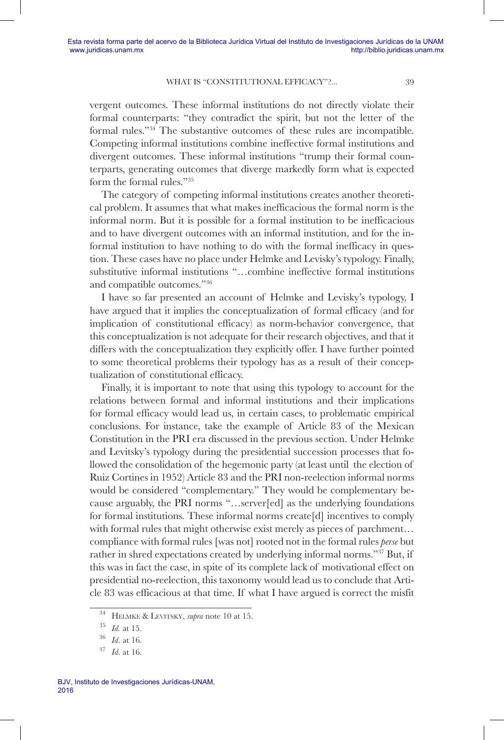vergent outcomes. These informal institutions do not directly violate their formal counterparts: "they contradict the spirit, but not the letter of the formal rules."34 The substantive outcomes of these rules are incompatible. Competing informal institutions combine ineffective formal institutions and divergent outcomes. These informal institutions "trump their formal counterparts, generating outcomes that diverge markedly form what is expected form the formal rules."35

The category of competing informal institutions creates another theoretical problem. It assumes that what makes inefficacious the formal norm is the informal norm. But it is possible for a formal institution to be inefficacious and to have divergent outcomes with an informal institution, and for the informal institution to have nothing to do with the formal inefficacy in question. These cases have no place under Helmke and Levisky's typology. Finally, substitutive informal institutions "…combine ineffective formal institutions and compatible outcomes."36

I have so far presented an account of Helmke and Levisky's typology, I have argued that it implies the conceptualization of formal efficacy (and for implication of constitutional efficacy) as norm-behavior convergence, that this conceptualization is not adequate for their research objectives, and that it differs with the conceptualization they explicitly offer. I have further pointed to some theoretical problems their typology has as a result of their conceptualization of constitutional efficacy.

Finally, it is important to note that using this typology to account for the relations between formal and informal institutions and their implications for formal efficacy would lead us, in certain cases, to problematic empirical conclusions. For instance, take the example of Article 83 of the Mexican Constitution in the PRI era discussed in the previous section. Under Helmke and Levitsky's typology during the presidential succession processes that followed the consolidation of the hegemonic party (at least until the election of Ruiz Cortines in 1952) Article 83 and the PRI non-reelection informal norms would be considered "complementary." They would be complementary because arguably, the PRI norms "…server[ed] as the underlying foundations for formal institutions. These informal norms create[d] incentives to comply with formal rules that might otherwise exist merely as pieces of parchment… compliance with formal rules [was not] rooted not in the formal rules *perse* but rather in shred expectations created by underlying informal norms."37 But, if this was in fact the case, in spite of its complete lack of motivational effect on presidential no-reelection, this taxonomy would lead us to conclude that Article 83 was efficacious at that time. If what I have argued is correct the misfit

<sup>34</sup> Helmke & Levitsky, *supra* note 10 at 15.

<sup>35</sup> *Id.* at 15.

<sup>36</sup> *Id*. at 16.

<sup>37</sup> *Id*. at 16.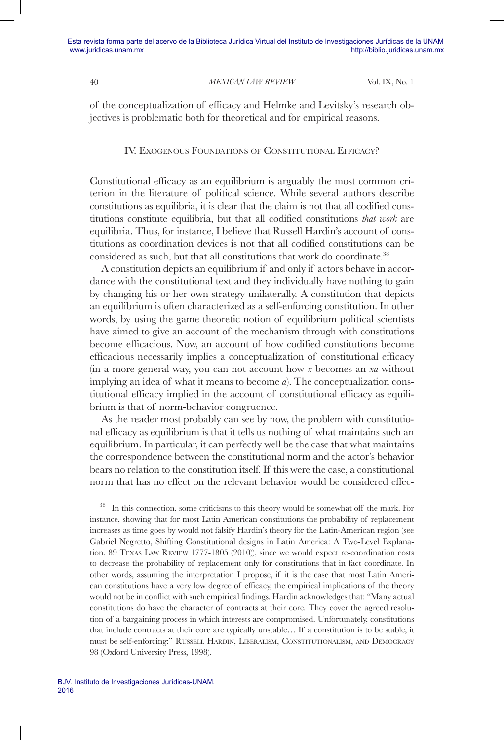Esta revista forma parte del acervo de la Biblioteca Jurídica Virtual del Instituto de Investigaciones Jurídicas de la UNAM www.juridicas.unam.mx http://biblio.juridicas.unam.mx

# 40 *MEXICAN LAW REVIEW* Vol. IX, No. 1

of the conceptualization of efficacy and Helmke and Levitsky's research objectives is problematic both for theoretical and for empirical reasons.

# IV. Exogenous Foundations of Constitutional Efficacy?

Constitutional efficacy as an equilibrium is arguably the most common criterion in the literature of political science. While several authors describe constitutions as equilibria, it is clear that the claim is not that all codified constitutions constitute equilibria, but that all codified constitutions *that work* are equilibria. Thus, for instance, I believe that Russell Hardin's account of constitutions as coordination devices is not that all codified constitutions can be considered as such, but that all constitutions that work do coordinate.<sup>38</sup>

A constitution depicts an equilibrium if and only if actors behave in accordance with the constitutional text and they individually have nothing to gain by changing his or her own strategy unilaterally. A constitution that depicts an equilibrium is often characterized as a self-enforcing constitution. In other words, by using the game theoretic notion of equilibrium political scientists have aimed to give an account of the mechanism through with constitutions become efficacious. Now, an account of how codified constitutions become efficacious necessarily implies a conceptualization of constitutional efficacy (in a more general way, you can not account how *x* becomes an *xa* without implying an idea of what it means to become *a*). The conceptualization constitutional efficacy implied in the account of constitutional efficacy as equilibrium is that of norm-behavior congruence.

As the reader most probably can see by now, the problem with constitutional efficacy as equilibrium is that it tells us nothing of what maintains such an equilibrium. In particular, it can perfectly well be the case that what maintains the correspondence between the constitutional norm and the actor's behavior bears no relation to the constitution itself. If this were the case, a constitutional norm that has no effect on the relevant behavior would be considered effec-

<sup>&</sup>lt;sup>38</sup> In this connection, some criticisms to this theory would be somewhat off the mark. For instance, showing that for most Latin American constitutions the probability of replacement increases as time goes by would not falsify Hardin's theory for the Latin-American region (see Gabriel Negretto, Shifting Constitutional designs in Latin America: A Two-Level Explanation, 89 Texas Law Review 1777-1805 (2010)), since we would expect re-coordination costs to decrease the probability of replacement only for constitutions that in fact coordinate. In other words, assuming the interpretation I propose, if it is the case that most Latin American constitutions have a very low degree of efficacy, the empirical implications of the theory would not be in conflict with such empirical findings. Hardin acknowledges that: "Many actual constitutions do have the character of contracts at their core. They cover the agreed resolution of a bargaining process in which interests are compromised. Unfortunately, constitutions that include contracts at their core are typically unstable… If a constitution is to be stable, it must be self-enforcing:" Russell Hardin, Liberalism, Constitutionalism, and Democracy 98 (Oxford University Press, 1998).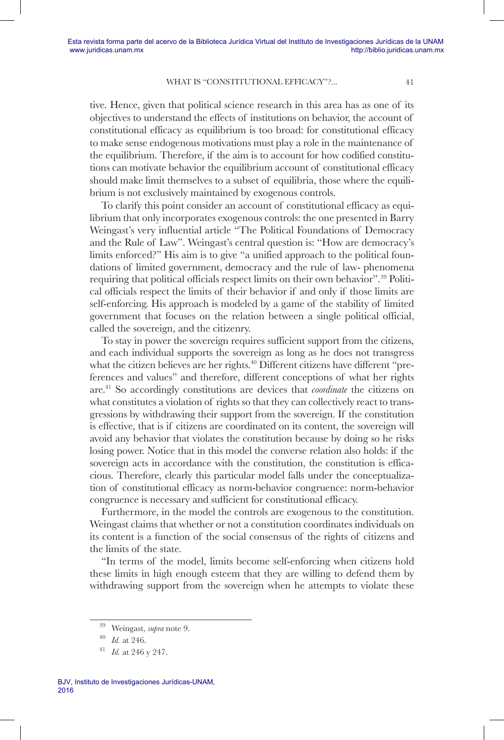tive. Hence, given that political science research in this area has as one of its objectives to understand the effects of institutions on behavior, the account of constitutional efficacy as equilibrium is too broad: for constitutional efficacy to make sense endogenous motivations must play a role in the maintenance of the equilibrium. Therefore, if the aim is to account for how codified constitutions can motivate behavior the equilibrium account of constitutional efficacy should make limit themselves to a subset of equilibria, those where the equilibrium is not exclusively maintained by exogenous controls.

To clarify this point consider an account of constitutional efficacy as equilibrium that only incorporates exogenous controls: the one presented in Barry Weingast's very influential article "The Political Foundations of Democracy and the Rule of Law". Weingast's central question is: "How are democracy's limits enforced?" His aim is to give "a unified approach to the political foundations of limited government, democracy and the rule of law- phenomena requiring that political officials respect limits on their own behavior".39 Political officials respect the limits of their behavior if and only if those limits are self-enforcing. His approach is modeled by a game of the stability of limited government that focuses on the relation between a single political official, called the sovereign, and the citizenry.

To stay in power the sovereign requires sufficient support from the citizens, and each individual supports the sovereign as long as he does not transgress what the citizen believes are her rights.<sup>40</sup> Different citizens have different "preferences and values" and therefore, different conceptions of what her rights are.41 So accordingly constitutions are devices that *coordinate* the citizens on what constitutes a violation of rights so that they can collectively react to transgressions by withdrawing their support from the sovereign. If the constitution is effective, that is if citizens are coordinated on its content, the sovereign will avoid any behavior that violates the constitution because by doing so he risks losing power. Notice that in this model the converse relation also holds: if the sovereign acts in accordance with the constitution, the constitution is efficacious. Therefore, clearly this particular model falls under the conceptualization of constitutional efficacy as norm-behavior congruence: norm-behavior congruence is necessary and sufficient for constitutional efficacy.

Furthermore, in the model the controls are exogenous to the constitution. Weingast claims that whether or not a constitution coordinates individuals on its content is a function of the social consensus of the rights of citizens and the limits of the state.

"In terms of the model, limits become self-enforcing when citizens hold these limits in high enough esteem that they are willing to defend them by withdrawing support from the sovereign when he attempts to violate these

<sup>39</sup> Weingast, *supra* note 9.

<sup>40</sup> *Id.* at 246. 41 *Id.* at 246 y 247.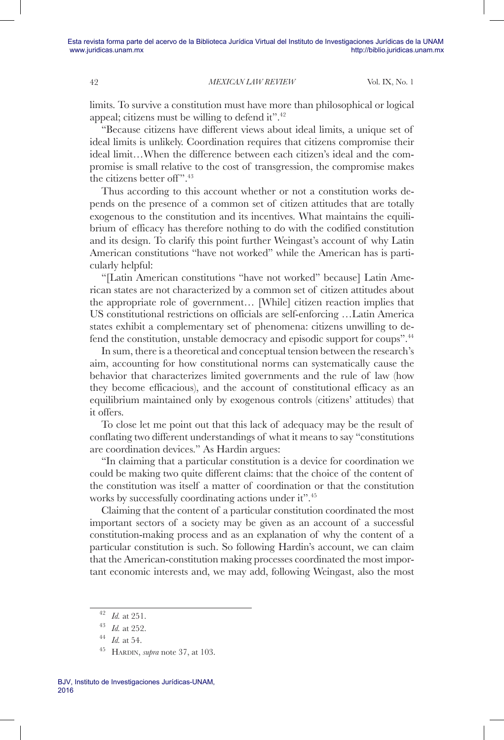limits. To survive a constitution must have more than philosophical or logical appeal; citizens must be willing to defend it".<sup>42</sup>

"Because citizens have different views about ideal limits, a unique set of ideal limits is unlikely. Coordination requires that citizens compromise their ideal limit…When the difference between each citizen's ideal and the compromise is small relative to the cost of transgression, the compromise makes the citizens better of ".<sup>43</sup>

Thus according to this account whether or not a constitution works depends on the presence of a common set of citizen attitudes that are totally exogenous to the constitution and its incentives. What maintains the equilibrium of efficacy has therefore nothing to do with the codified constitution and its design. To clarify this point further Weingast's account of why Latin American constitutions "have not worked" while the American has is particularly helpful:

"[Latin American constitutions "have not worked" because] Latin American states are not characterized by a common set of citizen attitudes about the appropriate role of government… [While] citizen reaction implies that US constitutional restrictions on officials are self-enforcing …Latin America states exhibit a complementary set of phenomena: citizens unwilling to defend the constitution, unstable democracy and episodic support for coups".<sup>44</sup>

In sum, there is a theoretical and conceptual tension between the research's aim, accounting for how constitutional norms can systematically cause the behavior that characterizes limited governments and the rule of law (how they become efficacious), and the account of constitutional efficacy as an equilibrium maintained only by exogenous controls (citizens' attitudes) that it offers.

To close let me point out that this lack of adequacy may be the result of conflating two different understandings of what it means to say "constitutions are coordination devices." As Hardin argues:

"In claiming that a particular constitution is a device for coordination we could be making two quite different claims: that the choice of the content of the constitution was itself a matter of coordination or that the constitution works by successfully coordinating actions under it".45

Claiming that the content of a particular constitution coordinated the most important sectors of a society may be given as an account of a successful constitution-making process and as an explanation of why the content of a particular constitution is such. So following Hardin's account, we can claim that the American-constitution making processes coordinated the most important economic interests and, we may add, following Weingast, also the most

<sup>42</sup> *Id.* at 251.

<sup>43</sup> *Id.* at 252. 44 *Id.* at 54.

<sup>45</sup> Hardin, *supra* note 37, at 103.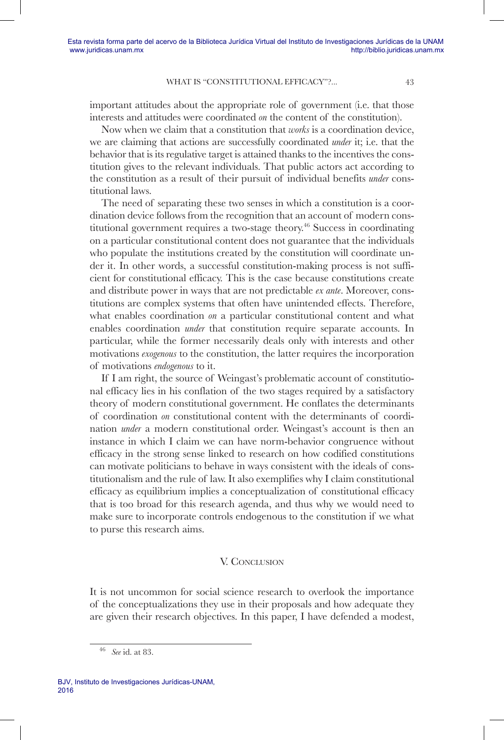important attitudes about the appropriate role of government (i.e. that those interests and attitudes were coordinated *on* the content of the constitution).

Now when we claim that a constitution that *works* is a coordination device, we are claiming that actions are successfully coordinated *under* it; i.e. that the behavior that is its regulative target is attained thanks to the incentives the constitution gives to the relevant individuals. That public actors act according to the constitution as a result of their pursuit of individual benefits *under* constitutional laws.

The need of separating these two senses in which a constitution is a coordination device follows from the recognition that an account of modern constitutional government requires a two-stage theory.46 Success in coordinating on a particular constitutional content does not guarantee that the individuals who populate the institutions created by the constitution will coordinate under it. In other words, a successful constitution-making process is not sufficient for constitutional efficacy. This is the case because constitutions create and distribute power in ways that are not predictable *ex ante*. Moreover, constitutions are complex systems that often have unintended effects. Therefore, what enables coordination *on* a particular constitutional content and what enables coordination *under* that constitution require separate accounts. In particular, while the former necessarily deals only with interests and other motivations *exogenous* to the constitution, the latter requires the incorporation of motivations *endogenous* to it.

If I am right, the source of Weingast's problematic account of constitutional efficacy lies in his conflation of the two stages required by a satisfactory theory of modern constitutional government. He conflates the determinants of coordination *on* constitutional content with the determinants of coordination *under* a modern constitutional order. Weingast's account is then an instance in which I claim we can have norm-behavior congruence without efficacy in the strong sense linked to research on how codified constitutions can motivate politicians to behave in ways consistent with the ideals of constitutionalism and the rule of law. It also exemplifies why I claim constitutional efficacy as equilibrium implies a conceptualization of constitutional efficacy that is too broad for this research agenda, and thus why we would need to make sure to incorporate controls endogenous to the constitution if we what to purse this research aims.

### V. CONCLUSION

It is not uncommon for social science research to overlook the importance of the conceptualizations they use in their proposals and how adequate they are given their research objectives. In this paper, I have defended a modest,

<sup>46</sup> *See* id. at 83.